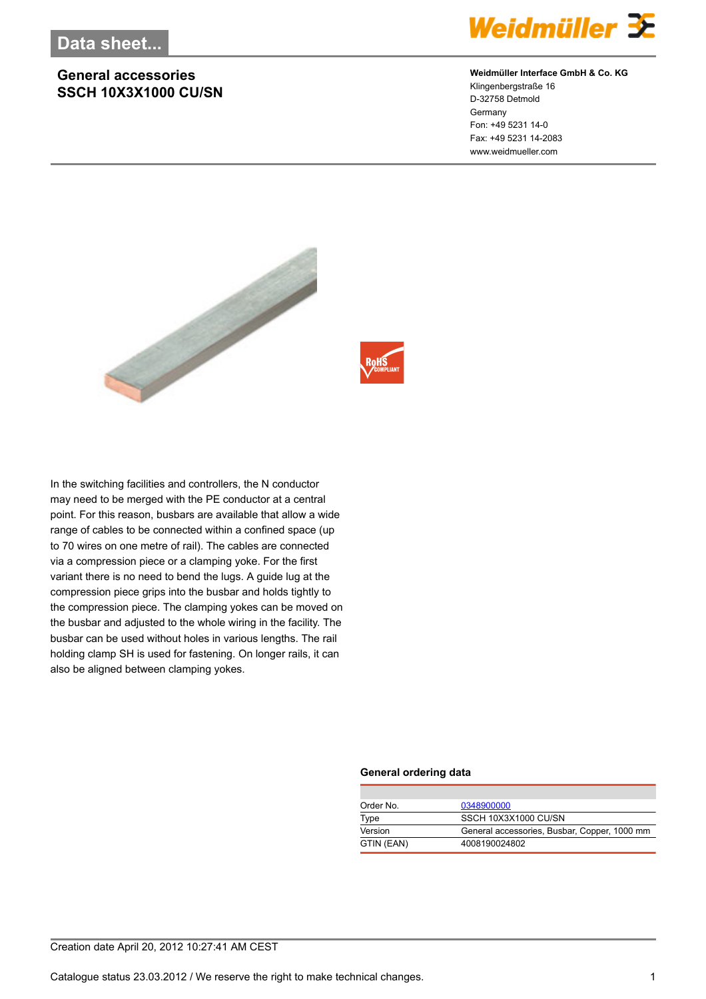## **General accessories SSCH 10X3X1000 CU/SN**



### **Weidmüller Interface GmbH & Co. KG**

Klingenbergstraße 16 D-32758 Detmold Germany Fon: +49 5231 14-0 Fax: +49 5231 14-2083 www.weidmueller.com



In the switching facilities and controllers, the N conductor may need to be merged with the PE conductor at a central point. For this reason, busbars are available that allow a wide range of cables to be connected within a confined space (up to 70 wires on one metre of rail). The cables are connected via a compression piece or a clamping yoke. For the first variant there is no need to bend the lugs. A guide lug at the compression piece grips into the busbar and holds tightly to the compression piece. The clamping yokes can be moved on the busbar and adjusted to the whole wiring in the facility. The busbar can be used without holes in various lengths. The rail holding clamp SH is used for fastening. On longer rails, it can also be aligned between clamping yokes.

#### **General ordering data**

| Order No.  | 0348900000                                   |
|------------|----------------------------------------------|
| Type       | SSCH 10X3X1000 CU/SN                         |
| Version    | General accessories, Busbar, Copper, 1000 mm |
| GTIN (EAN) | 4008190024802                                |